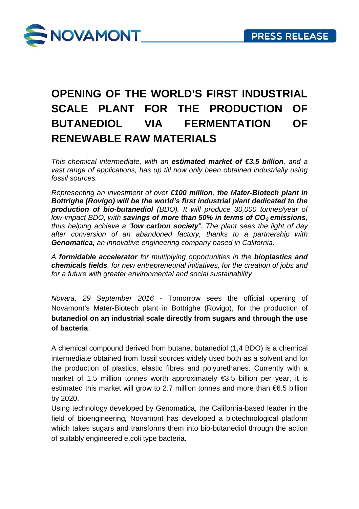

## **OPENING OF THE WORLD'S FIRST INDUSTRIAL SCALE PLANT FOR THE PRODUCTION OF BUTANEDIOL VIA FERMENTATION OF RENEWABLE RAW MATERIALS**

*This chemical intermediate, with an estimated market of €3.5 billion, and a* vast range of applications, has up till now only been obtained industrially using *fossil sources.*

*Representing an investment of over €100 million, the Mater-Biotech plant in Bottrighe (Rovigo) will be the world's first industrial plant dedicated to the production of bio-butanediol (BDO). It will produce 30,000 tonnes/year of low-impact BDO, with savings of more than 50% in terms of CO<sub>2</sub> emissions, thus helping achieve a "low carbon society". The plant sees the light of day after conversion of an abandoned factory, thanks to a partnership with Genomatica, an innovative engineering company based in California.*

*A formidable accelerator for multiplying opportunities in the bioplastics and chemicals fields, for new entrepreneurial initiatives, for the creation of jobs and for a future with greater environmental and social sustainability*

*Novara, 29 September 2016* - Tomorrow sees the official opening of Novamont's Mater-Biotech plant in Bottrighe (Rovigo), for the production of **butanediol on an industrial scale directly from sugars and through the use of bacteria**.

A chemical compound derived from butane, butanediol (1,4 BDO) is a chemical intermediate obtained from fossil sources widely used both as a solvent and for the production of plastics, elastic fibres and polyurethanes. Currently with a market of 1.5 million tonnes worth approximately  $\epsilon$ 3.5 billion per year, it is estimated this market will grow to 2.7 million tonnes and more than €6.5 billion by 2020.

Using technology developed by Genomatica, the California-based leader in the field of bioengineering*,* Novamont has developed a biotechnological platform which takes sugars and transforms them into bio-butanediol through the action of suitably engineered e.coli type bacteria.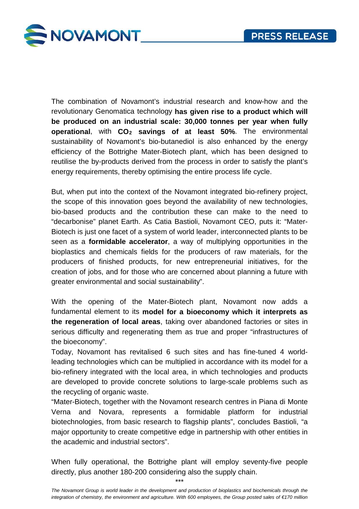

The combination of Novamont's industrial research and know-how and the revolutionary Genomatica technology **has given rise to a product which will be produced on an industrial scale: 30,000 tonnes per year when fully operational**, with **CO2 savings of at least 50%**. The environmental sustainability of Novamont's bio-butanediol is also enhanced by the energy efficiency of the Bottrighe Mater-Biotech plant, which has been designed to reutilise the by-products derived from the process in order to satisfy the plant's energy requirements, thereby optimising the entire process life cycle.

But, when put into the context of the Novamont integrated bio-refinery project, the scope of this innovation goes beyond the availability of new technologies, bio-based products and the contribution these can make to the need to "decarbonise" planet Earth. As Catia Bastioli, Novamont CEO, puts it: "Mater-Biotech is just one facet of a system of world leader, interconnected plants to be seen as a **formidable accelerator**, a way of multiplying opportunities in the bioplastics and chemicals fields for the producers of raw materials, for the producers of finished products, for new entrepreneurial initiatives, for the creation of jobs, and for those who are concerned about planning a future with greater environmental and social sustainability".

With the opening of the Mater-Biotech plant, Novamont now adds a fundamental element to its **model for a bioeconomy which it interprets as the regeneration of local areas**, taking over abandoned factories or sites in serious difficulty and regenerating them as true and proper "infrastructures of the bioeconomy".

Today, Novamont has revitalised 6 such sites and has fine-tuned 4 worldleading technologies which can be multiplied in accordance with its model for a bio-refinery integrated with the local area, in which technologies and products are developed to provide concrete solutions to large-scale problems such as the recycling of organic waste.

"Mater-Biotech, together with the Novamont research centres in Piana di Monte Verna and Novara, represents a formidable platform for industrial biotechnologies, from basic research to flagship plants", concludes Bastioli, "a major opportunity to create competitive edge in partnership with other entities in the academic and industrial sectors".

When fully operational, the Bottrighe plant will employ seventy-five people directly, plus another 180-200 considering also the supply chain.